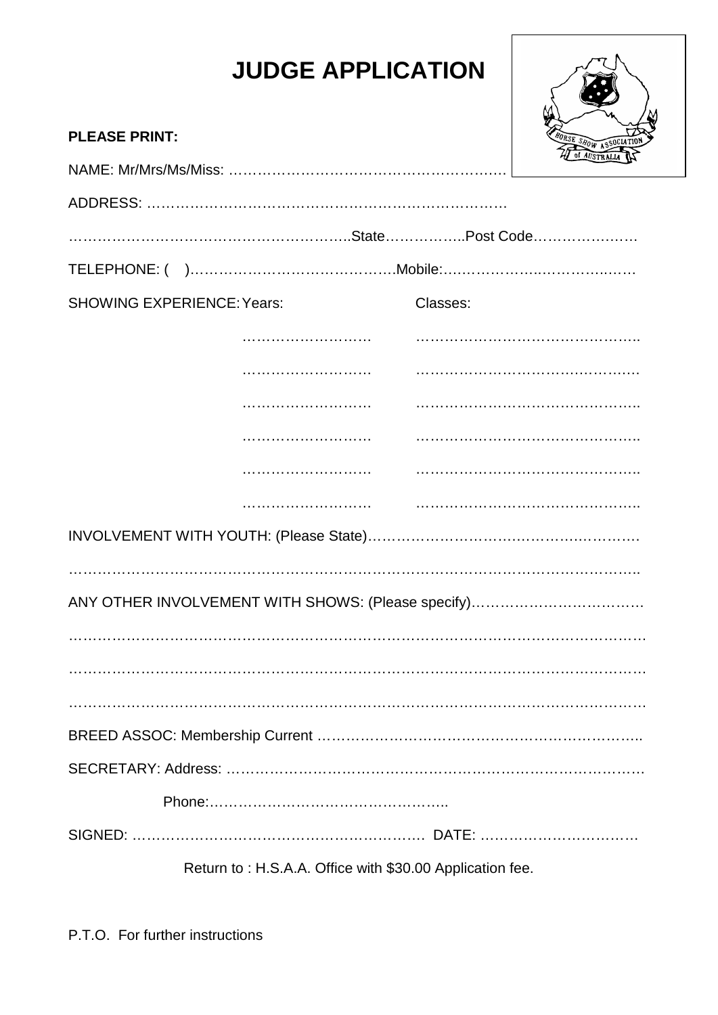## **JUDGE APPLICATION**



| <b>PLEASE PRINT:</b>              |                                                          |          | FORSE SHOW ASSOCIATION |  |
|-----------------------------------|----------------------------------------------------------|----------|------------------------|--|
|                                   |                                                          |          |                        |  |
|                                   |                                                          |          |                        |  |
|                                   |                                                          |          |                        |  |
|                                   |                                                          |          |                        |  |
| <b>SHOWING EXPERIENCE: Years:</b> |                                                          | Classes: |                        |  |
|                                   |                                                          |          |                        |  |
|                                   |                                                          |          |                        |  |
|                                   |                                                          |          |                        |  |
|                                   |                                                          |          |                        |  |
|                                   |                                                          |          |                        |  |
|                                   |                                                          |          |                        |  |
|                                   |                                                          |          |                        |  |
|                                   |                                                          |          |                        |  |
|                                   |                                                          |          |                        |  |
|                                   |                                                          |          |                        |  |
|                                   |                                                          |          |                        |  |
|                                   |                                                          |          |                        |  |
|                                   |                                                          |          |                        |  |
|                                   |                                                          |          |                        |  |
|                                   |                                                          |          |                        |  |
|                                   |                                                          |          |                        |  |
|                                   | Return to: H.S.A.A. Office with \$30.00 Application fee. |          |                        |  |